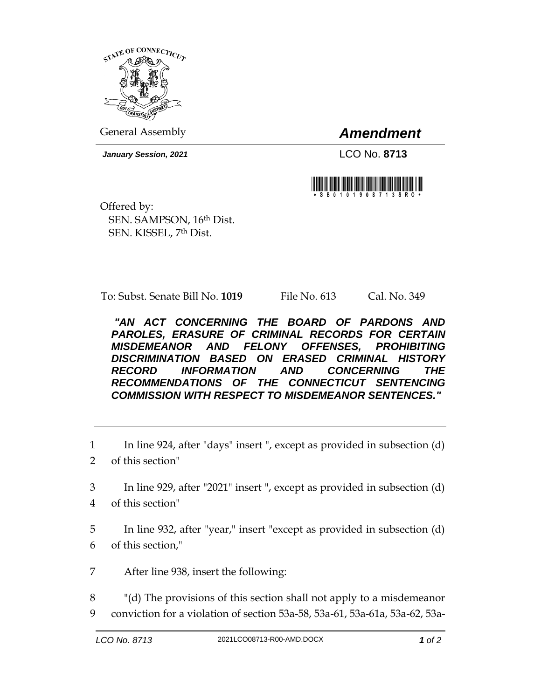

General Assembly *Amendment*

*January Session, 2021* LCO No. **8713**



Offered by: SEN. SAMPSON, 16th Dist. SEN. KISSEL, 7th Dist.

To: Subst. Senate Bill No. **1019** File No. 613 Cal. No. 349

*"AN ACT CONCERNING THE BOARD OF PARDONS AND PAROLES, ERASURE OF CRIMINAL RECORDS FOR CERTAIN MISDEMEANOR AND FELONY OFFENSES, PROHIBITING DISCRIMINATION BASED ON ERASED CRIMINAL HISTORY RECORD INFORMATION AND CONCERNING THE RECOMMENDATIONS OF THE CONNECTICUT SENTENCING COMMISSION WITH RESPECT TO MISDEMEANOR SENTENCES."* 

1 In line 924, after "days" insert ", except as provided in subsection (d)

- 2 of this section"
- 3 In line 929, after "2021" insert ", except as provided in subsection (d)
- 4 of this section"
- 5 In line 932, after "year," insert "except as provided in subsection (d) 6 of this section,"
- 7 After line 938, insert the following:

8 "(d) The provisions of this section shall not apply to a misdemeanor 9 conviction for a violation of section 53a-58, 53a-61, 53a-61a, 53a-62, 53a-